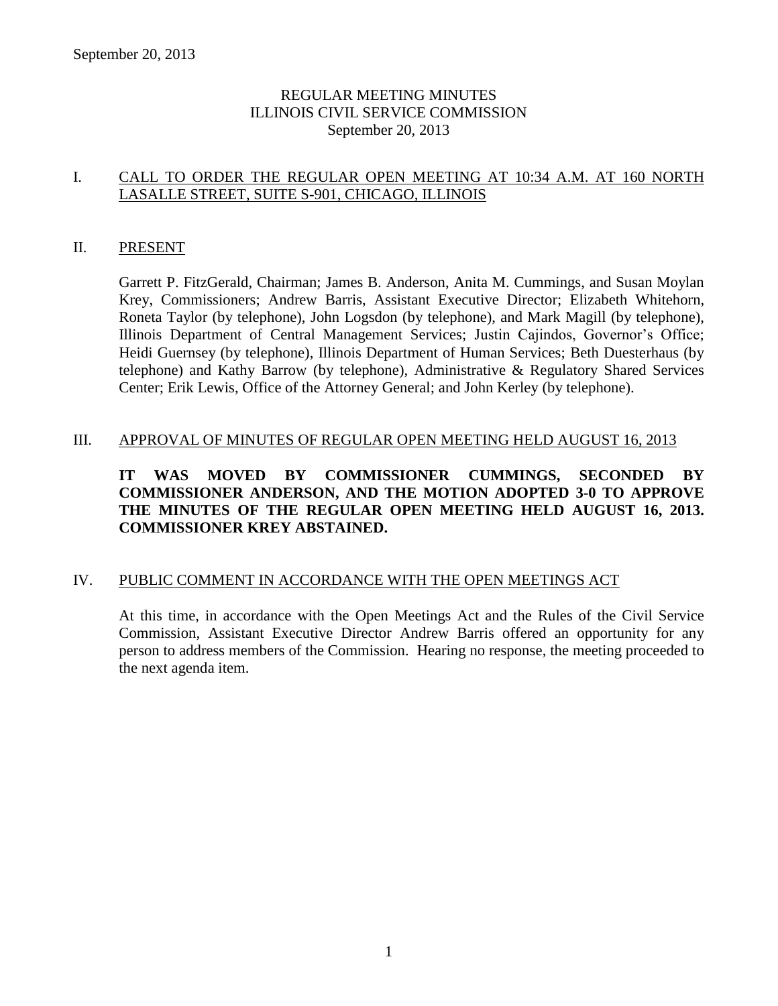# REGULAR MEETING MINUTES ILLINOIS CIVIL SERVICE COMMISSION September 20, 2013

# I. CALL TO ORDER THE REGULAR OPEN MEETING AT 10:34 A.M. AT 160 NORTH LASALLE STREET, SUITE S-901, CHICAGO, ILLINOIS

#### II. PRESENT

Garrett P. FitzGerald, Chairman; James B. Anderson, Anita M. Cummings, and Susan Moylan Krey, Commissioners; Andrew Barris, Assistant Executive Director; Elizabeth Whitehorn, Roneta Taylor (by telephone), John Logsdon (by telephone), and Mark Magill (by telephone), Illinois Department of Central Management Services; Justin Cajindos, Governor's Office; Heidi Guernsey (by telephone), Illinois Department of Human Services; Beth Duesterhaus (by telephone) and Kathy Barrow (by telephone), Administrative & Regulatory Shared Services Center; Erik Lewis, Office of the Attorney General; and John Kerley (by telephone).

# III. APPROVAL OF MINUTES OF REGULAR OPEN MEETING HELD AUGUST 16, 2013

**IT WAS MOVED BY COMMISSIONER CUMMINGS, SECONDED BY COMMISSIONER ANDERSON, AND THE MOTION ADOPTED 3-0 TO APPROVE THE MINUTES OF THE REGULAR OPEN MEETING HELD AUGUST 16, 2013. COMMISSIONER KREY ABSTAINED.** 

# IV. PUBLIC COMMENT IN ACCORDANCE WITH THE OPEN MEETINGS ACT

At this time, in accordance with the Open Meetings Act and the Rules of the Civil Service Commission, Assistant Executive Director Andrew Barris offered an opportunity for any person to address members of the Commission. Hearing no response, the meeting proceeded to the next agenda item.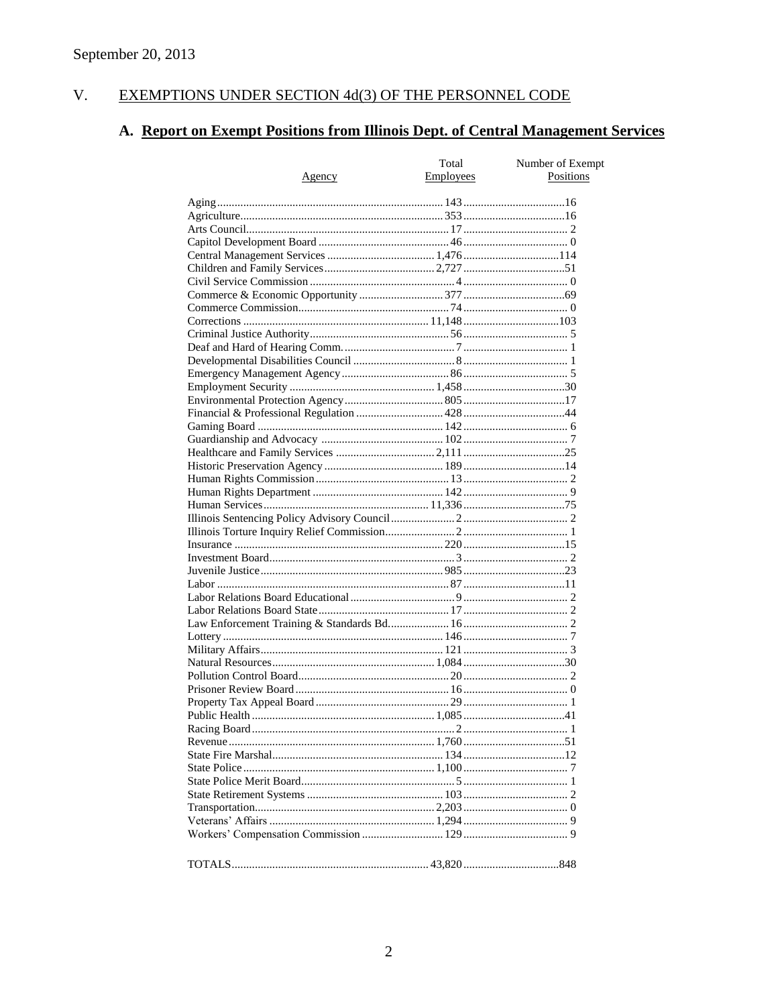#### $V<sub>r</sub>$ EXEMPTIONS UNDER SECTION 4d(3) OF THE PERSONNEL CODE

# A. Report on Exempt Positions from Illinois Dept. of Central Management Services

|               | Total            | Number of Exempt |
|---------------|------------------|------------------|
| <u>Agency</u> | <b>Employees</b> | Positions        |
|               |                  |                  |
|               |                  |                  |
|               |                  |                  |
|               |                  |                  |
|               |                  |                  |
|               |                  |                  |
|               |                  |                  |
|               |                  |                  |
|               |                  |                  |
|               |                  |                  |
|               |                  |                  |
|               |                  |                  |
|               |                  |                  |
|               |                  |                  |
|               |                  |                  |
|               |                  |                  |
|               |                  |                  |
|               |                  |                  |
|               |                  |                  |
|               |                  |                  |
|               |                  |                  |
|               |                  |                  |
|               |                  |                  |
|               |                  |                  |
|               |                  |                  |
|               |                  |                  |
|               |                  |                  |
|               |                  |                  |
|               |                  |                  |
|               |                  |                  |
|               |                  |                  |
|               |                  |                  |
|               |                  |                  |
|               |                  |                  |
|               |                  |                  |
|               |                  |                  |
|               |                  |                  |
|               |                  |                  |
|               |                  |                  |
|               |                  |                  |
|               |                  |                  |
|               |                  |                  |
|               |                  |                  |
|               |                  |                  |
|               |                  |                  |
|               |                  |                  |
|               |                  |                  |
|               |                  |                  |
|               |                  |                  |
|               |                  |                  |
|               |                  |                  |
|               |                  |                  |
|               |                  |                  |
|               |                  |                  |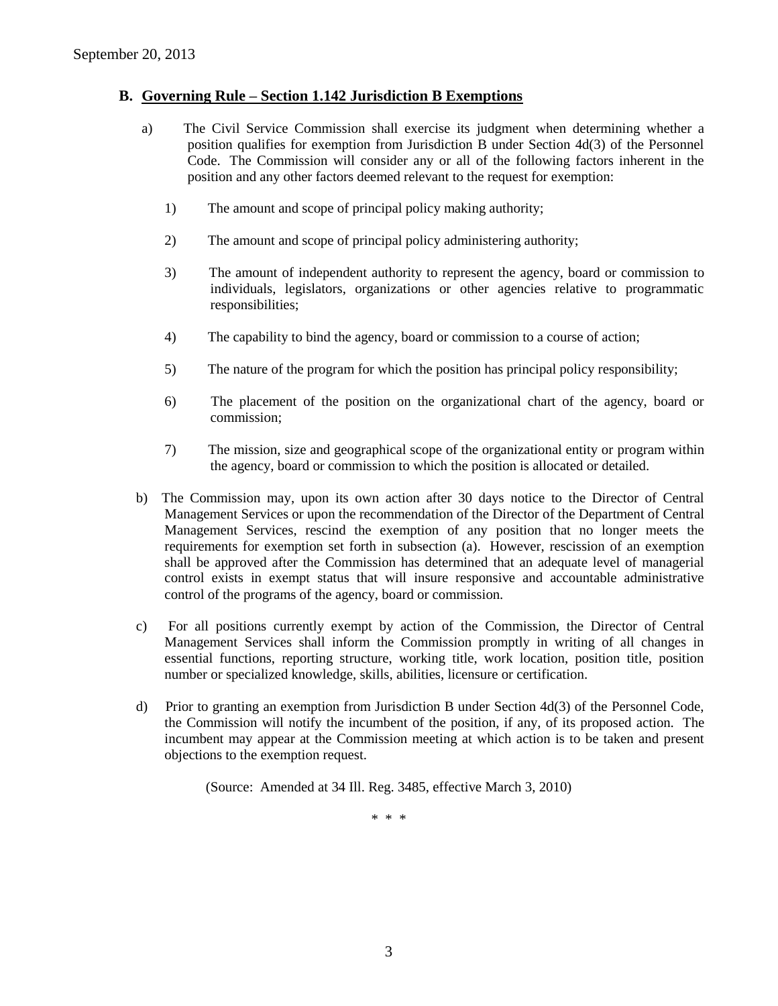#### **B. Governing Rule – Section 1.142 Jurisdiction B Exemptions**

- a) The Civil Service Commission shall exercise its judgment when determining whether a position qualifies for exemption from Jurisdiction B under Section 4d(3) of the Personnel Code. The Commission will consider any or all of the following factors inherent in the position and any other factors deemed relevant to the request for exemption:
	- 1) The amount and scope of principal policy making authority;
	- 2) The amount and scope of principal policy administering authority;
	- 3) The amount of independent authority to represent the agency, board or commission to individuals, legislators, organizations or other agencies relative to programmatic responsibilities;
	- 4) The capability to bind the agency, board or commission to a course of action;
	- 5) The nature of the program for which the position has principal policy responsibility;
	- 6) The placement of the position on the organizational chart of the agency, board or commission;
	- 7) The mission, size and geographical scope of the organizational entity or program within the agency, board or commission to which the position is allocated or detailed.
- b) The Commission may, upon its own action after 30 days notice to the Director of Central Management Services or upon the recommendation of the Director of the Department of Central Management Services, rescind the exemption of any position that no longer meets the requirements for exemption set forth in subsection (a). However, rescission of an exemption shall be approved after the Commission has determined that an adequate level of managerial control exists in exempt status that will insure responsive and accountable administrative control of the programs of the agency, board or commission.
- c) For all positions currently exempt by action of the Commission, the Director of Central Management Services shall inform the Commission promptly in writing of all changes in essential functions, reporting structure, working title, work location, position title, position number or specialized knowledge, skills, abilities, licensure or certification.
- d) Prior to granting an exemption from Jurisdiction B under Section 4d(3) of the Personnel Code, the Commission will notify the incumbent of the position, if any, of its proposed action. The incumbent may appear at the Commission meeting at which action is to be taken and present objections to the exemption request.

(Source: Amended at 34 Ill. Reg. 3485, effective March 3, 2010)

\* \* \*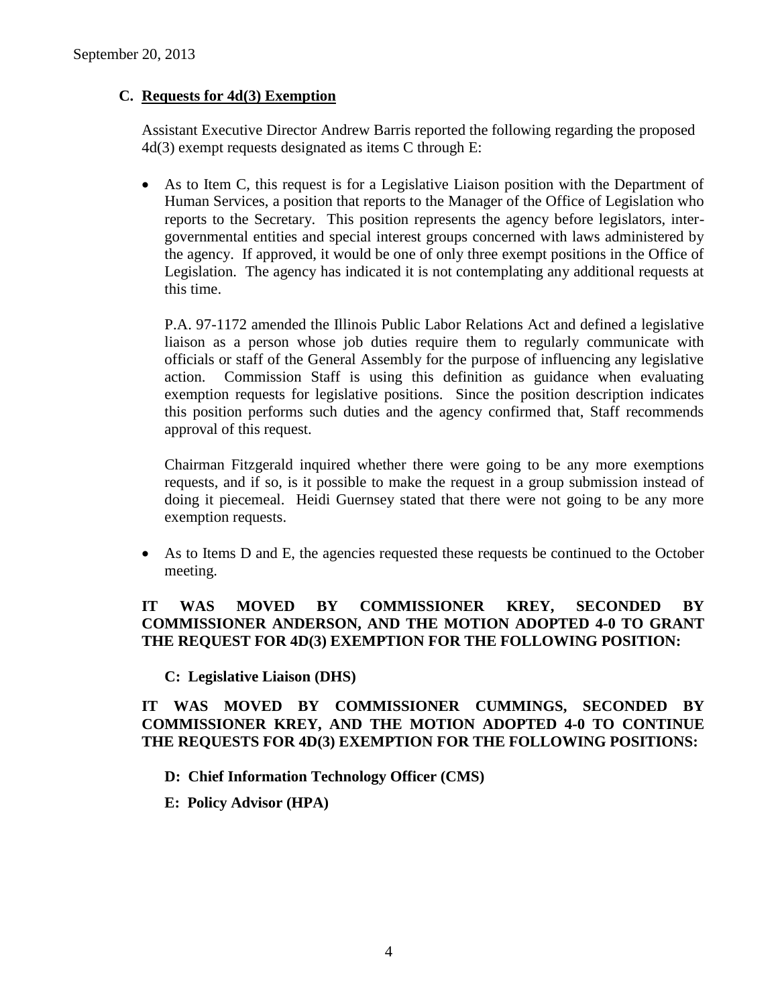# **C. Requests for 4d(3) Exemption**

Assistant Executive Director Andrew Barris reported the following regarding the proposed 4d(3) exempt requests designated as items C through E:

 As to Item C, this request is for a Legislative Liaison position with the Department of Human Services, a position that reports to the Manager of the Office of Legislation who reports to the Secretary. This position represents the agency before legislators, intergovernmental entities and special interest groups concerned with laws administered by the agency. If approved, it would be one of only three exempt positions in the Office of Legislation. The agency has indicated it is not contemplating any additional requests at this time.

P.A. 97-1172 amended the Illinois Public Labor Relations Act and defined a legislative liaison as a person whose job duties require them to regularly communicate with officials or staff of the General Assembly for the purpose of influencing any legislative action. Commission Staff is using this definition as guidance when evaluating exemption requests for legislative positions. Since the position description indicates this position performs such duties and the agency confirmed that, Staff recommends approval of this request.

Chairman Fitzgerald inquired whether there were going to be any more exemptions requests, and if so, is it possible to make the request in a group submission instead of doing it piecemeal. Heidi Guernsey stated that there were not going to be any more exemption requests.

 As to Items D and E, the agencies requested these requests be continued to the October meeting.

# **IT WAS MOVED BY COMMISSIONER KREY, SECONDED BY COMMISSIONER ANDERSON, AND THE MOTION ADOPTED 4-0 TO GRANT THE REQUEST FOR 4D(3) EXEMPTION FOR THE FOLLOWING POSITION:**

**C: Legislative Liaison (DHS)**

**IT WAS MOVED BY COMMISSIONER CUMMINGS, SECONDED BY COMMISSIONER KREY, AND THE MOTION ADOPTED 4-0 TO CONTINUE THE REQUESTS FOR 4D(3) EXEMPTION FOR THE FOLLOWING POSITIONS:**

- **D: Chief Information Technology Officer (CMS)**
- **E: Policy Advisor (HPA)**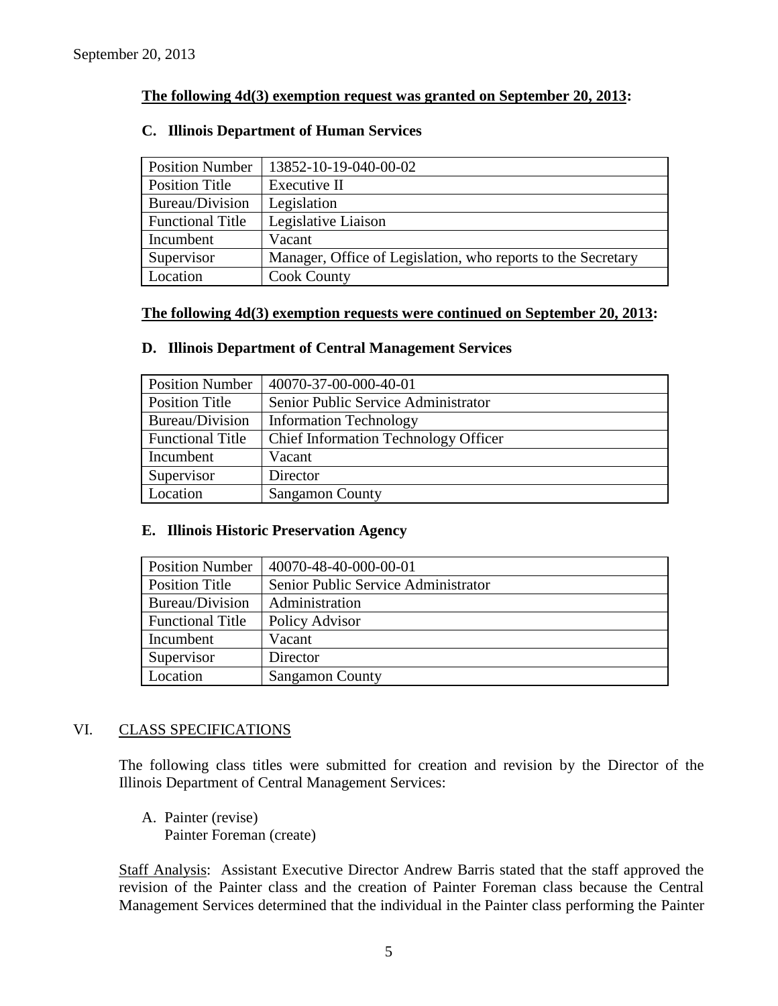## **The following 4d(3) exemption request was granted on September 20, 2013:**

# Position Number | 13852-10-19-040-00-02 Position Title | Executive II Bureau/Division Legislation Functional Title | Legislative Liaison Incumbent Vacant Supervisor Manager, Office of Legislation, who reports to the Secretary Location | Cook County

### **C. Illinois Department of Human Services**

#### **The following 4d(3) exemption requests were continued on September 20, 2013:**

#### **D. Illinois Department of Central Management Services**

| <b>Position Number</b>  | 40070-37-00-000-40-01                       |
|-------------------------|---------------------------------------------|
| Position Title          | Senior Public Service Administrator         |
| Bureau/Division         | <b>Information Technology</b>               |
| <b>Functional Title</b> | <b>Chief Information Technology Officer</b> |
| Incumbent               | Vacant                                      |
| Supervisor              | Director                                    |
| Location                | <b>Sangamon County</b>                      |

#### **E. Illinois Historic Preservation Agency**

| <b>Position Number</b>  | 40070-48-40-000-00-01               |
|-------------------------|-------------------------------------|
| Position Title          | Senior Public Service Administrator |
| Bureau/Division         | Administration                      |
| <b>Functional Title</b> | Policy Advisor                      |
| Incumbent               | Vacant                              |
| Supervisor              | Director                            |
| Location                | <b>Sangamon County</b>              |

#### VI. CLASS SPECIFICATIONS

The following class titles were submitted for creation and revision by the Director of the Illinois Department of Central Management Services:

A. Painter (revise) Painter Foreman (create)

Staff Analysis: Assistant Executive Director Andrew Barris stated that the staff approved the revision of the Painter class and the creation of Painter Foreman class because the Central Management Services determined that the individual in the Painter class performing the Painter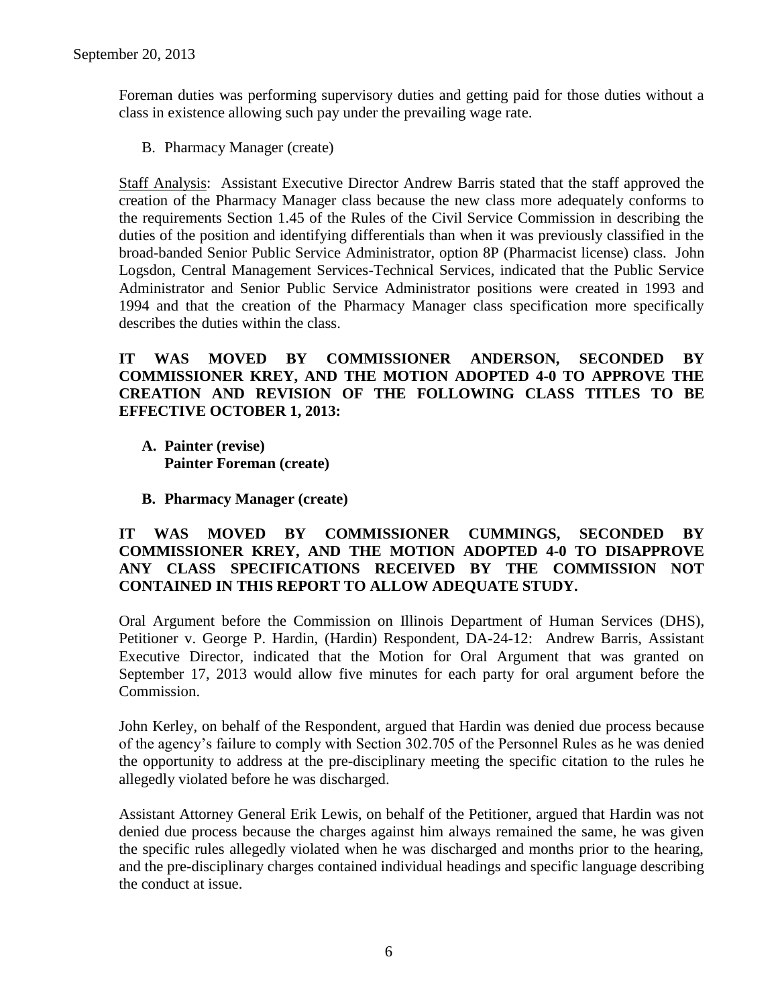Foreman duties was performing supervisory duties and getting paid for those duties without a class in existence allowing such pay under the prevailing wage rate.

B. Pharmacy Manager (create)

Staff Analysis: Assistant Executive Director Andrew Barris stated that the staff approved the creation of the Pharmacy Manager class because the new class more adequately conforms to the requirements Section 1.45 of the Rules of the Civil Service Commission in describing the duties of the position and identifying differentials than when it was previously classified in the broad-banded Senior Public Service Administrator, option 8P (Pharmacist license) class. John Logsdon, Central Management Services-Technical Services, indicated that the Public Service Administrator and Senior Public Service Administrator positions were created in 1993 and 1994 and that the creation of the Pharmacy Manager class specification more specifically describes the duties within the class.

# **IT WAS MOVED BY COMMISSIONER ANDERSON, SECONDED BY COMMISSIONER KREY, AND THE MOTION ADOPTED 4-0 TO APPROVE THE CREATION AND REVISION OF THE FOLLOWING CLASS TITLES TO BE EFFECTIVE OCTOBER 1, 2013:**

- **A. Painter (revise) Painter Foreman (create)**
- **B. Pharmacy Manager (create)**

# **IT WAS MOVED BY COMMISSIONER CUMMINGS, SECONDED BY COMMISSIONER KREY, AND THE MOTION ADOPTED 4-0 TO DISAPPROVE ANY CLASS SPECIFICATIONS RECEIVED BY THE COMMISSION NOT CONTAINED IN THIS REPORT TO ALLOW ADEQUATE STUDY.**

Oral Argument before the Commission on Illinois Department of Human Services (DHS), Petitioner v. George P. Hardin, (Hardin) Respondent, DA-24-12: Andrew Barris, Assistant Executive Director, indicated that the Motion for Oral Argument that was granted on September 17, 2013 would allow five minutes for each party for oral argument before the Commission.

John Kerley, on behalf of the Respondent, argued that Hardin was denied due process because of the agency's failure to comply with Section 302.705 of the Personnel Rules as he was denied the opportunity to address at the pre-disciplinary meeting the specific citation to the rules he allegedly violated before he was discharged.

Assistant Attorney General Erik Lewis, on behalf of the Petitioner, argued that Hardin was not denied due process because the charges against him always remained the same, he was given the specific rules allegedly violated when he was discharged and months prior to the hearing, and the pre-disciplinary charges contained individual headings and specific language describing the conduct at issue.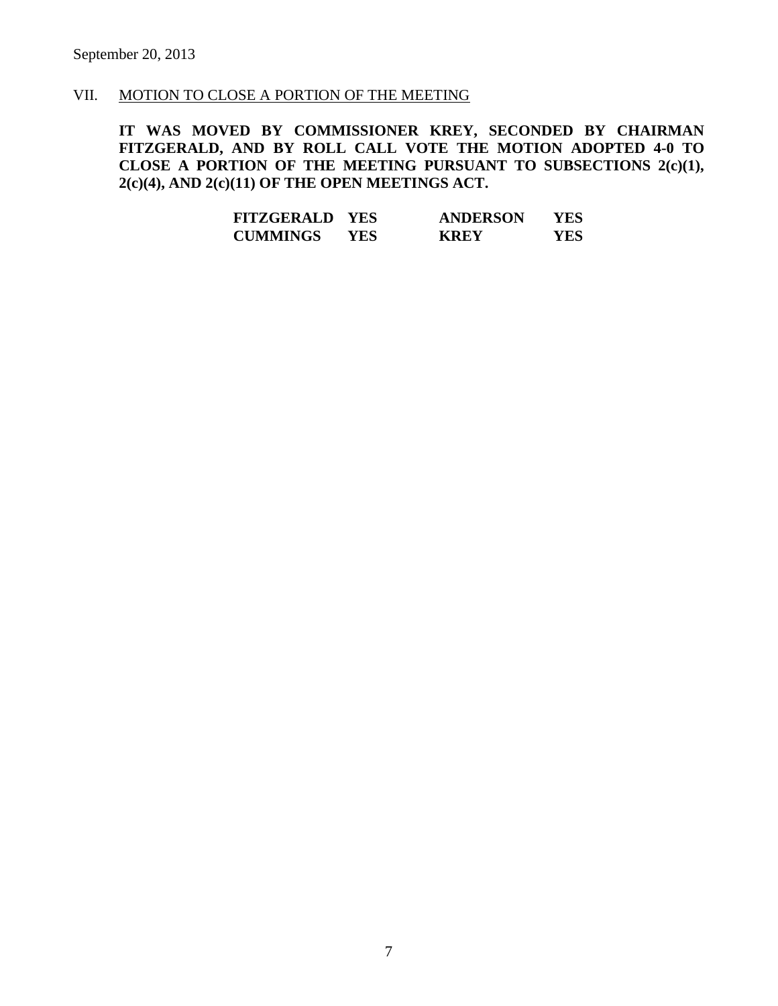#### VII. MOTION TO CLOSE A PORTION OF THE MEETING

**IT WAS MOVED BY COMMISSIONER KREY, SECONDED BY CHAIRMAN FITZGERALD, AND BY ROLL CALL VOTE THE MOTION ADOPTED 4-0 TO CLOSE A PORTION OF THE MEETING PURSUANT TO SUBSECTIONS 2(c)(1), 2(c)(4), AND 2(c)(11) OF THE OPEN MEETINGS ACT.**

| <b>FITZGERALD</b> | <b>YES</b> | <b>ANDERSON</b> | YES        |
|-------------------|------------|-----------------|------------|
| <b>CUMMINGS</b>   | YES.       | <b>KREY</b>     | <b>YES</b> |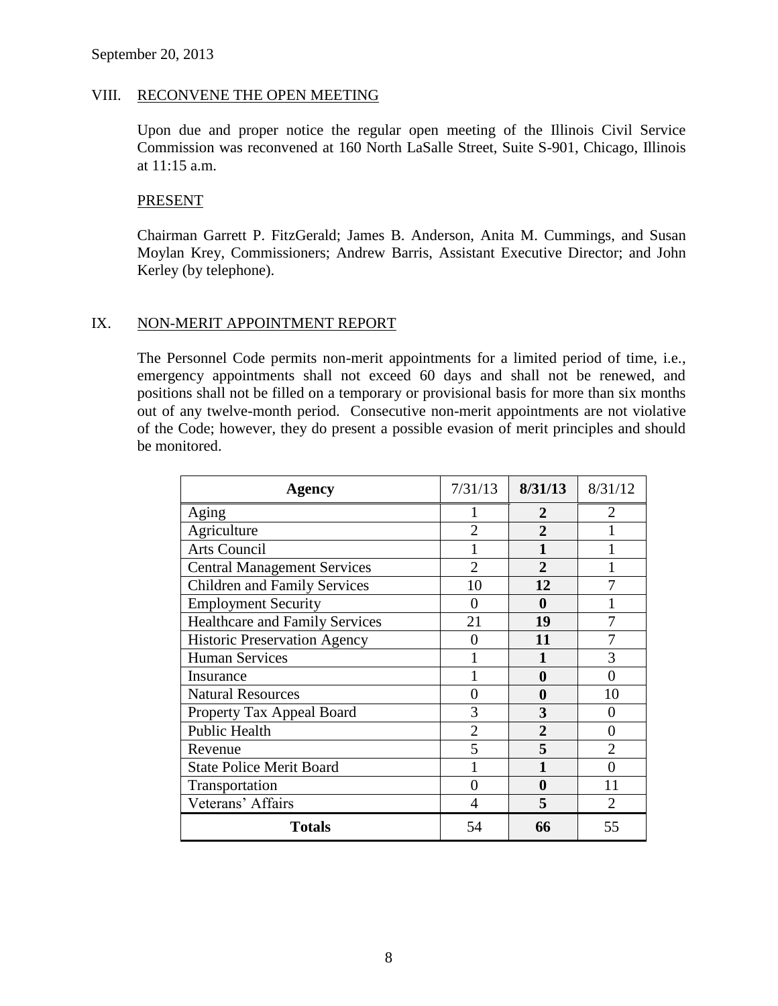#### VIII. RECONVENE THE OPEN MEETING

Upon due and proper notice the regular open meeting of the Illinois Civil Service Commission was reconvened at 160 North LaSalle Street, Suite S-901, Chicago, Illinois at 11:15 a.m.

#### PRESENT

Chairman Garrett P. FitzGerald; James B. Anderson, Anita M. Cummings, and Susan Moylan Krey, Commissioners; Andrew Barris, Assistant Executive Director; and John Kerley (by telephone).

#### IX. NON-MERIT APPOINTMENT REPORT

The Personnel Code permits non-merit appointments for a limited period of time, i.e., emergency appointments shall not exceed 60 days and shall not be renewed, and positions shall not be filled on a temporary or provisional basis for more than six months out of any twelve-month period. Consecutive non-merit appointments are not violative of the Code; however, they do present a possible evasion of merit principles and should be monitored.

| <b>Agency</b>                         | 7/31/13        | 8/31/13        | 8/31/12               |
|---------------------------------------|----------------|----------------|-----------------------|
| Aging                                 |                | 2              | $\mathcal{D}_{\cdot}$ |
| Agriculture                           | $\overline{c}$ | $\mathfrak{D}$ |                       |
| <b>Arts Council</b>                   |                | 1              |                       |
| <b>Central Management Services</b>    | $\mathfrak{D}$ | $\mathfrak{D}$ |                       |
| <b>Children and Family Services</b>   | 10             | 12             |                       |
| <b>Employment Security</b>            | 0              | 0              |                       |
| <b>Healthcare and Family Services</b> | 21             | 19             |                       |
| <b>Historic Preservation Agency</b>   | 0              | 11             |                       |
| <b>Human Services</b>                 |                |                | 3                     |
| Insurance                             |                | 0              | 0                     |
| <b>Natural Resources</b>              | 0              | 0              | 10                    |
| Property Tax Appeal Board             | 3              | 3              | 0                     |
| <b>Public Health</b>                  | $\overline{2}$ | $\overline{2}$ | 0                     |
| Revenue                               | 5              | 5              | $\overline{2}$        |
| <b>State Police Merit Board</b>       |                |                | 0                     |
| Transportation                        |                | $\bf{0}$       | 11                    |
| Veterans' Affairs                     |                | 5              | 2                     |
| <b>Totals</b>                         | 54             | 66             | 55                    |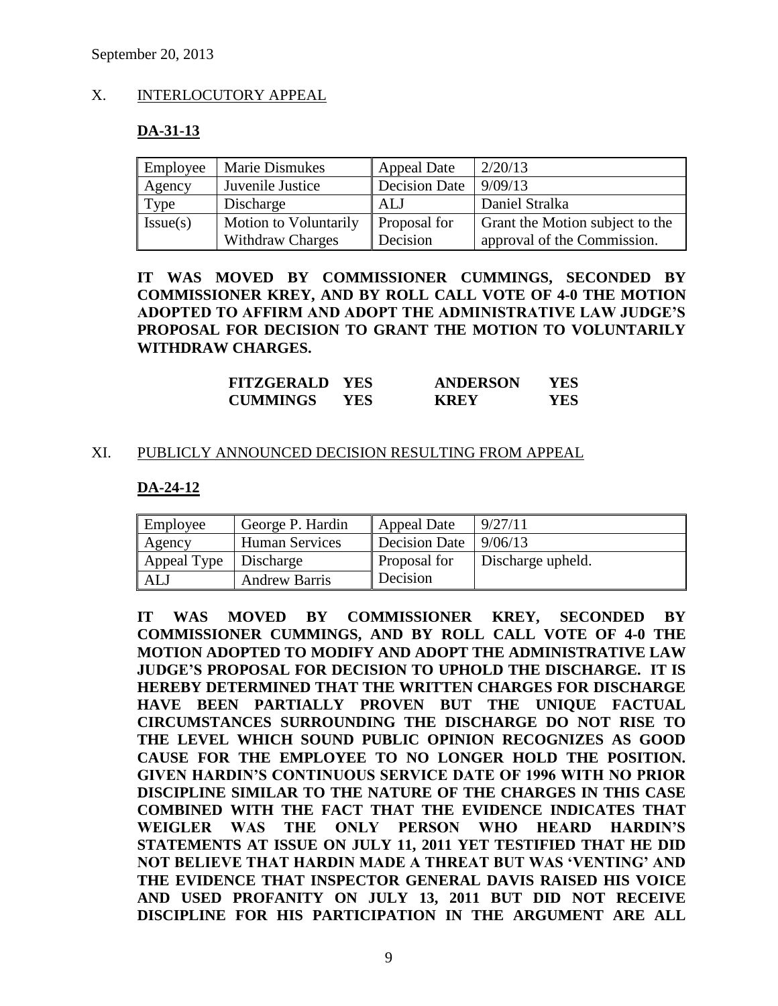# X. INTERLOCUTORY APPEAL

### **DA-31-13**

| Employee | <b>Marie Dismukes</b>        | <b>Appeal Date</b>   | 2/20/13                         |
|----------|------------------------------|----------------------|---------------------------------|
| Agency   | Juvenile Justice             | <b>Decision Date</b> | 9/09/13                         |
| Type     | Discharge                    | ALJ                  | Daniel Stralka                  |
| Issue(s) | <b>Motion to Voluntarily</b> | Proposal for         | Grant the Motion subject to the |
|          | <b>Withdraw Charges</b>      | Decision             | approval of the Commission.     |

**IT WAS MOVED BY COMMISSIONER CUMMINGS, SECONDED BY COMMISSIONER KREY, AND BY ROLL CALL VOTE OF 4-0 THE MOTION ADOPTED TO AFFIRM AND ADOPT THE ADMINISTRATIVE LAW JUDGE'S PROPOSAL FOR DECISION TO GRANT THE MOTION TO VOLUNTARILY WITHDRAW CHARGES.**

| <b>FITZGERALD</b> | <b>YES</b> | <b>ANDERSON</b> | YES |
|-------------------|------------|-----------------|-----|
| <b>CUMMINGS</b>   | YES.       | <b>KREY</b>     | YES |

#### XI. PUBLICLY ANNOUNCED DECISION RESULTING FROM APPEAL

#### **DA-24-12**

| Employee                | George P. Hardin      | Appeal Date         | 9/27/11           |
|-------------------------|-----------------------|---------------------|-------------------|
| Agency                  | <b>Human Services</b> | Decision Date       | 9/06/13           |
| Appeal Type   Discharge |                       | <b>Proposal for</b> | Discharge upheld. |
| <b>ALJ</b>              | <b>Andrew Barris</b>  | Decision            |                   |

**IT WAS MOVED BY COMMISSIONER KREY, SECONDED BY COMMISSIONER CUMMINGS, AND BY ROLL CALL VOTE OF 4-0 THE MOTION ADOPTED TO MODIFY AND ADOPT THE ADMINISTRATIVE LAW JUDGE'S PROPOSAL FOR DECISION TO UPHOLD THE DISCHARGE. IT IS HEREBY DETERMINED THAT THE WRITTEN CHARGES FOR DISCHARGE HAVE BEEN PARTIALLY PROVEN BUT THE UNIQUE FACTUAL CIRCUMSTANCES SURROUNDING THE DISCHARGE DO NOT RISE TO THE LEVEL WHICH SOUND PUBLIC OPINION RECOGNIZES AS GOOD CAUSE FOR THE EMPLOYEE TO NO LONGER HOLD THE POSITION. GIVEN HARDIN'S CONTINUOUS SERVICE DATE OF 1996 WITH NO PRIOR DISCIPLINE SIMILAR TO THE NATURE OF THE CHARGES IN THIS CASE COMBINED WITH THE FACT THAT THE EVIDENCE INDICATES THAT WEIGLER WAS THE ONLY PERSON WHO HEARD HARDIN'S STATEMENTS AT ISSUE ON JULY 11, 2011 YET TESTIFIED THAT HE DID NOT BELIEVE THAT HARDIN MADE A THREAT BUT WAS 'VENTING' AND THE EVIDENCE THAT INSPECTOR GENERAL DAVIS RAISED HIS VOICE AND USED PROFANITY ON JULY 13, 2011 BUT DID NOT RECEIVE DISCIPLINE FOR HIS PARTICIPATION IN THE ARGUMENT ARE ALL**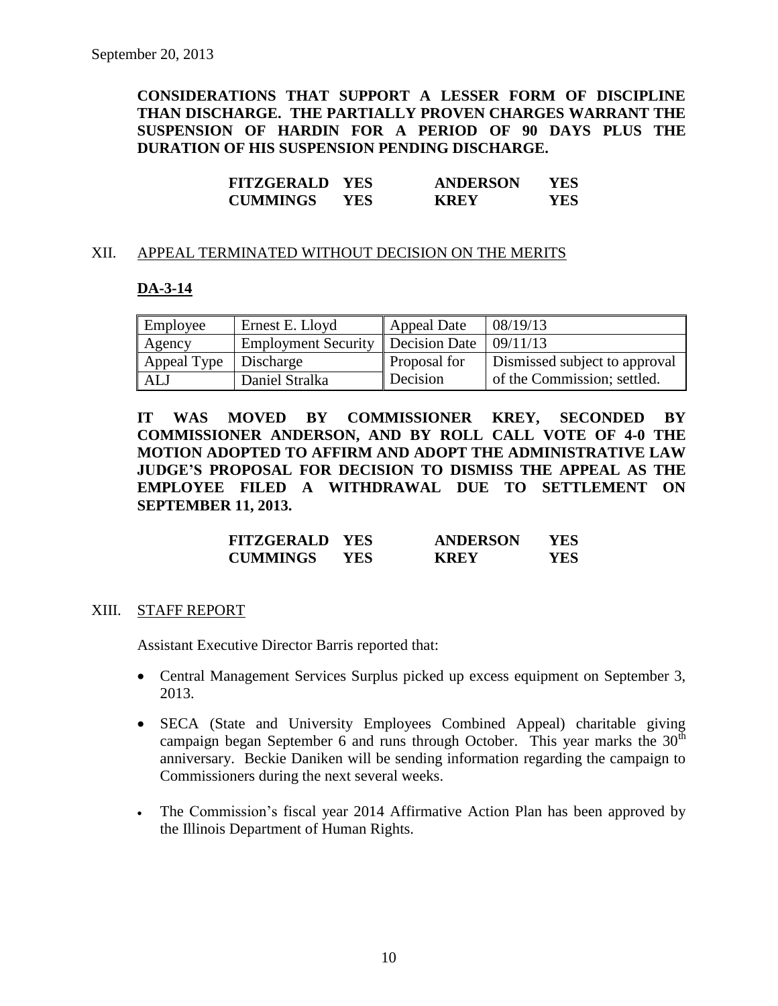**CONSIDERATIONS THAT SUPPORT A LESSER FORM OF DISCIPLINE THAN DISCHARGE. THE PARTIALLY PROVEN CHARGES WARRANT THE SUSPENSION OF HARDIN FOR A PERIOD OF 90 DAYS PLUS THE DURATION OF HIS SUSPENSION PENDING DISCHARGE.**

| <b>FITZGERALD</b> | <b>YES</b> | <b>ANDERSON</b> | YES |
|-------------------|------------|-----------------|-----|
| <b>CUMMINGS</b>   | YES.       | <b>KREY</b>     | YES |

#### XII. APPEAL TERMINATED WITHOUT DECISION ON THE MERITS

#### **DA-3-14**

| Employee    | Ernest E. Lloyd                     | <b>Appeal Date</b>  | 08/19/13                      |
|-------------|-------------------------------------|---------------------|-------------------------------|
| Agency      | Employment Security   Decision Date |                     | 09/11/13                      |
| Appeal Type | <b>Discharge</b>                    | <b>Proposal for</b> | Dismissed subject to approval |
| ALJ         | Daniel Stralka                      | Decision            | of the Commission; settled.   |

**IT WAS MOVED BY COMMISSIONER KREY, SECONDED BY COMMISSIONER ANDERSON, AND BY ROLL CALL VOTE OF 4-0 THE MOTION ADOPTED TO AFFIRM AND ADOPT THE ADMINISTRATIVE LAW JUDGE'S PROPOSAL FOR DECISION TO DISMISS THE APPEAL AS THE EMPLOYEE FILED A WITHDRAWAL DUE TO SETTLEMENT ON SEPTEMBER 11, 2013.**

| <b>FITZGERALD YES</b> |      | <b>ANDERSON</b> | YES |
|-----------------------|------|-----------------|-----|
| <b>CUMMINGS</b>       | YES. | <b>KREY</b>     | YES |

#### XIII. STAFF REPORT

Assistant Executive Director Barris reported that:

- Central Management Services Surplus picked up excess equipment on September 3, 2013.
- SECA (State and University Employees Combined Appeal) charitable giving campaign began September 6 and runs through October. This year marks the  $30<sup>th</sup>$ anniversary. Beckie Daniken will be sending information regarding the campaign to Commissioners during the next several weeks.
- The Commission's fiscal year 2014 Affirmative Action Plan has been approved by the Illinois Department of Human Rights.